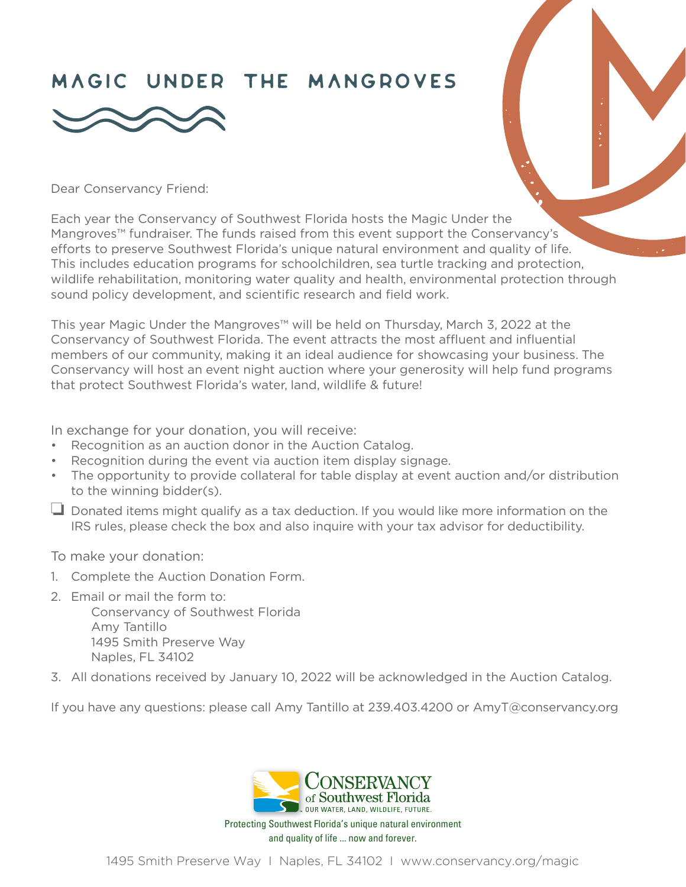## Magic Under the mAngroves



Dear Conservancy Friend:

Each year the Conservancy of Southwest Florida hosts the Magic Under the Mangroves™ fundraiser. The funds raised from this event support the Conservancy's efforts to preserve Southwest Florida's unique natural environment and quality of life. This includes education programs for schoolchildren, sea turtle tracking and protection, wildlife rehabilitation, monitoring water quality and health, environmental protection through sound policy development, and scientific research and field work.

This year Magic Under the Mangroves™ will be held on Thursday, March 3, 2022 at the Conservancy of Southwest Florida. The event attracts the most affluent and influential members of our community, making it an ideal audience for showcasing your business. The Conservancy will host an event night auction where your generosity will help fund programs that protect Southwest Florida's water, land, wildlife & future!

In exchange for your donation, you will receive:

- Recognition as an auction donor in the Auction Catalog.
- Recognition during the event via auction item display signage.
- The opportunity to provide collateral for table display at event auction and/or distribution to the winning bidder(s).
- $\Box$  Donated items might qualify as a tax deduction. If you would like more information on the IRS rules, please check the box and also inquire with your tax advisor for deductibility.

To make your donation:

- 1. Complete the Auction Donation Form.
- 2. Email or mail the form to:
	- Conservancy of Southwest Florida Amy Tantillo 1495 Smith Preserve Way Naples, FL 34102
- 3. All donations received by January 10, 2022 will be acknowledged in the Auction Catalog.

If you have any questions: please call Amy Tantillo at 239.403.4200 or AmyT@conservancy.org



Protecting Southwest Florida's unique natural environment and quality of life ... now and forever.